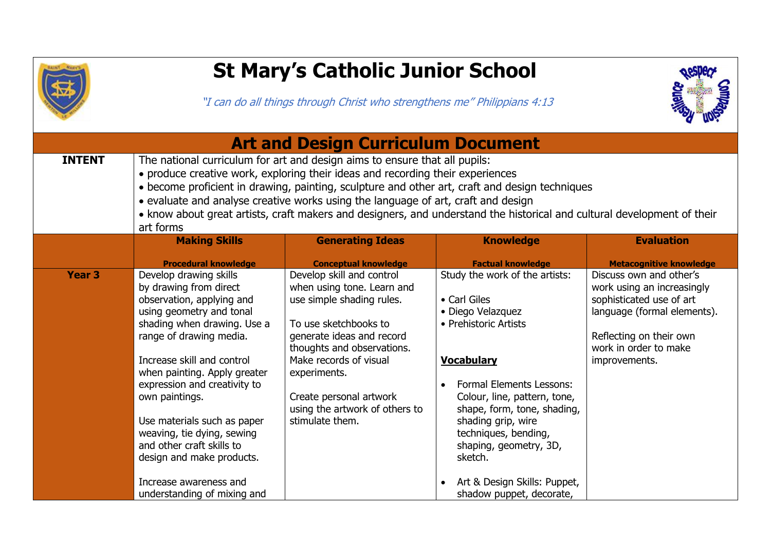

## **St Mary's Catholic Junior School**

"I can do all things through Christ who strengthens me" Philippians 4:13



| <b>Art and Design Curriculum Document</b> |                                                                                                                                                                                                                                                                                                                                                                                                                                                                                             |                                                                                                                                                                                                    |                                                                                                                                                                                                                                               |                                                                                                                                                                                       |
|-------------------------------------------|---------------------------------------------------------------------------------------------------------------------------------------------------------------------------------------------------------------------------------------------------------------------------------------------------------------------------------------------------------------------------------------------------------------------------------------------------------------------------------------------|----------------------------------------------------------------------------------------------------------------------------------------------------------------------------------------------------|-----------------------------------------------------------------------------------------------------------------------------------------------------------------------------------------------------------------------------------------------|---------------------------------------------------------------------------------------------------------------------------------------------------------------------------------------|
| <b>INTENT</b>                             | The national curriculum for art and design aims to ensure that all pupils:<br>• produce creative work, exploring their ideas and recording their experiences<br>• become proficient in drawing, painting, sculpture and other art, craft and design techniques<br>• evaluate and analyse creative works using the language of art, craft and design<br>• know about great artists, craft makers and designers, and understand the historical and cultural development of their<br>art forms |                                                                                                                                                                                                    |                                                                                                                                                                                                                                               |                                                                                                                                                                                       |
|                                           | <b>Making Skills</b>                                                                                                                                                                                                                                                                                                                                                                                                                                                                        | <b>Generating Ideas</b>                                                                                                                                                                            | <b>Knowledge</b>                                                                                                                                                                                                                              | <b>Evaluation</b>                                                                                                                                                                     |
|                                           | <b>Procedural knowledge</b>                                                                                                                                                                                                                                                                                                                                                                                                                                                                 | <b>Conceptual knowledge</b>                                                                                                                                                                        | <b>Factual knowledge</b>                                                                                                                                                                                                                      | <b>Metacognitive knowledge</b>                                                                                                                                                        |
| <b>Year 3</b>                             | Develop drawing skills<br>by drawing from direct<br>observation, applying and<br>using geometry and tonal<br>shading when drawing. Use a<br>range of drawing media.<br>Increase skill and control                                                                                                                                                                                                                                                                                           | Develop skill and control<br>when using tone. Learn and<br>use simple shading rules.<br>To use sketchbooks to<br>generate ideas and record<br>thoughts and observations.<br>Make records of visual | Study the work of the artists:<br>• Carl Giles<br>• Diego Velazquez<br>• Prehistoric Artists<br><b>Vocabulary</b>                                                                                                                             | Discuss own and other's<br>work using an increasingly<br>sophisticated use of art<br>language (formal elements).<br>Reflecting on their own<br>work in order to make<br>improvements. |
|                                           | when painting. Apply greater<br>expression and creativity to<br>own paintings.<br>Use materials such as paper<br>weaving, tie dying, sewing<br>and other craft skills to<br>design and make products.<br>Increase awareness and<br>understanding of mixing and                                                                                                                                                                                                                              | experiments.<br>Create personal artwork<br>using the artwork of others to<br>stimulate them.                                                                                                       | <b>Formal Elements Lessons:</b><br>Colour, line, pattern, tone,<br>shape, form, tone, shading,<br>shading grip, wire<br>techniques, bending,<br>shaping, geometry, 3D,<br>sketch.<br>Art & Design Skills: Puppet,<br>shadow puppet, decorate, |                                                                                                                                                                                       |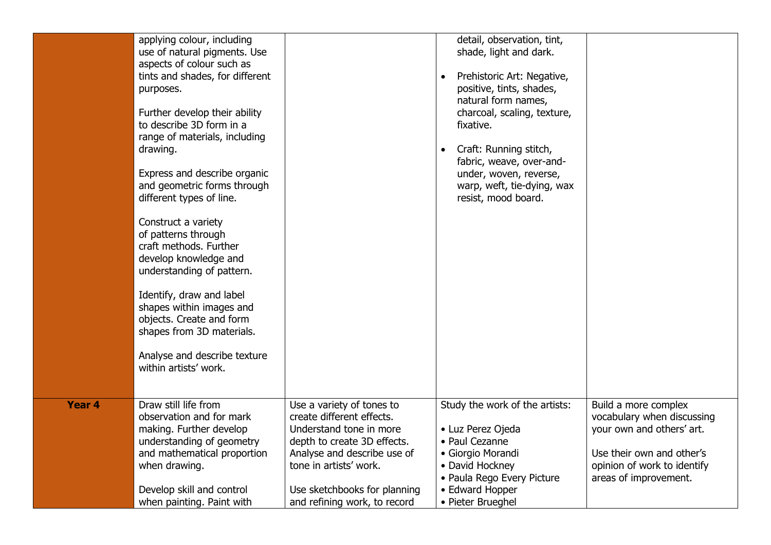|        | applying colour, including<br>use of natural pigments. Use<br>aspects of colour such as<br>tints and shades, for different<br>purposes.<br>Further develop their ability<br>to describe 3D form in a<br>range of materials, including<br>drawing.<br>Express and describe organic<br>and geometric forms through<br>different types of line.<br>Construct a variety<br>of patterns through<br>craft methods. Further<br>develop knowledge and<br>understanding of pattern.<br>Identify, draw and label<br>shapes within images and<br>objects. Create and form<br>shapes from 3D materials.<br>Analyse and describe texture<br>within artists' work. |                                                                                                                                                                                                                                           | detail, observation, tint,<br>shade, light and dark.<br>Prehistoric Art: Negative,<br>positive, tints, shades,<br>natural form names,<br>charcoal, scaling, texture,<br>fixative.<br>Craft: Running stitch,<br>$\bullet$<br>fabric, weave, over-and-<br>under, woven, reverse,<br>warp, weft, tie-dying, wax<br>resist, mood board. |                                                                                                                                                                      |
|--------|------------------------------------------------------------------------------------------------------------------------------------------------------------------------------------------------------------------------------------------------------------------------------------------------------------------------------------------------------------------------------------------------------------------------------------------------------------------------------------------------------------------------------------------------------------------------------------------------------------------------------------------------------|-------------------------------------------------------------------------------------------------------------------------------------------------------------------------------------------------------------------------------------------|-------------------------------------------------------------------------------------------------------------------------------------------------------------------------------------------------------------------------------------------------------------------------------------------------------------------------------------|----------------------------------------------------------------------------------------------------------------------------------------------------------------------|
| Year 4 | Draw still life from<br>observation and for mark<br>making. Further develop<br>understanding of geometry<br>and mathematical proportion<br>when drawing.<br>Develop skill and control<br>when painting. Paint with                                                                                                                                                                                                                                                                                                                                                                                                                                   | Use a variety of tones to<br>create different effects.<br>Understand tone in more<br>depth to create 3D effects.<br>Analyse and describe use of<br>tone in artists' work.<br>Use sketchbooks for planning<br>and refining work, to record | Study the work of the artists:<br>• Luz Perez Ojeda<br>• Paul Cezanne<br>• Giorgio Morandi<br>• David Hockney<br>• Paula Rego Every Picture<br>• Edward Hopper<br>• Pieter Brueghel                                                                                                                                                 | Build a more complex<br>vocabulary when discussing<br>your own and others' art.<br>Use their own and other's<br>opinion of work to identify<br>areas of improvement. |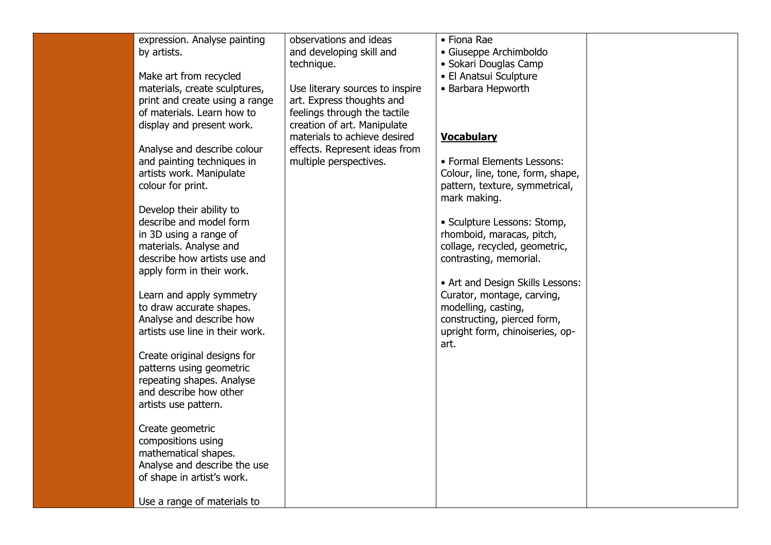| expression. Analyse painting<br>by artists.         | observations and ideas<br>and developing skill and | • Fiona Rae<br>• Giuseppe Archimboldo |  |
|-----------------------------------------------------|----------------------------------------------------|---------------------------------------|--|
|                                                     | technique.                                         | • Sokari Douglas Camp                 |  |
| Make art from recycled                              |                                                    | • El Anatsui Sculpture                |  |
| materials, create sculptures,                       | Use literary sources to inspire                    | • Barbara Hepworth                    |  |
| print and create using a range                      | art. Express thoughts and                          |                                       |  |
| of materials. Learn how to                          | feelings through the tactile                       |                                       |  |
| display and present work.                           | creation of art. Manipulate                        |                                       |  |
|                                                     | materials to achieve desired                       | <b>Vocabulary</b>                     |  |
| Analyse and describe colour                         | effects. Represent ideas from                      |                                       |  |
| and painting techniques in                          | multiple perspectives.                             | • Formal Elements Lessons:            |  |
| artists work. Manipulate                            |                                                    | Colour, line, tone, form, shape,      |  |
| colour for print.                                   |                                                    | pattern, texture, symmetrical,        |  |
|                                                     |                                                    | mark making.                          |  |
| Develop their ability to                            |                                                    |                                       |  |
| describe and model form                             |                                                    | • Sculpture Lessons: Stomp,           |  |
| in 3D using a range of                              |                                                    | rhomboid, maracas, pitch,             |  |
| materials. Analyse and                              |                                                    | collage, recycled, geometric,         |  |
| describe how artists use and                        |                                                    | contrasting, memorial.                |  |
| apply form in their work.                           |                                                    |                                       |  |
|                                                     |                                                    | • Art and Design Skills Lessons:      |  |
| Learn and apply symmetry                            |                                                    | Curator, montage, carving,            |  |
| to draw accurate shapes.                            |                                                    | modelling, casting,                   |  |
| Analyse and describe how                            |                                                    | constructing, pierced form,           |  |
| artists use line in their work.                     |                                                    | upright form, chinoiseries, op-       |  |
|                                                     |                                                    | art.                                  |  |
| Create original designs for                         |                                                    |                                       |  |
| patterns using geometric                            |                                                    |                                       |  |
| repeating shapes. Analyse<br>and describe how other |                                                    |                                       |  |
| artists use pattern.                                |                                                    |                                       |  |
|                                                     |                                                    |                                       |  |
| Create geometric                                    |                                                    |                                       |  |
| compositions using                                  |                                                    |                                       |  |
| mathematical shapes.                                |                                                    |                                       |  |
| Analyse and describe the use                        |                                                    |                                       |  |
| of shape in artist's work.                          |                                                    |                                       |  |
|                                                     |                                                    |                                       |  |
| Use a range of materials to                         |                                                    |                                       |  |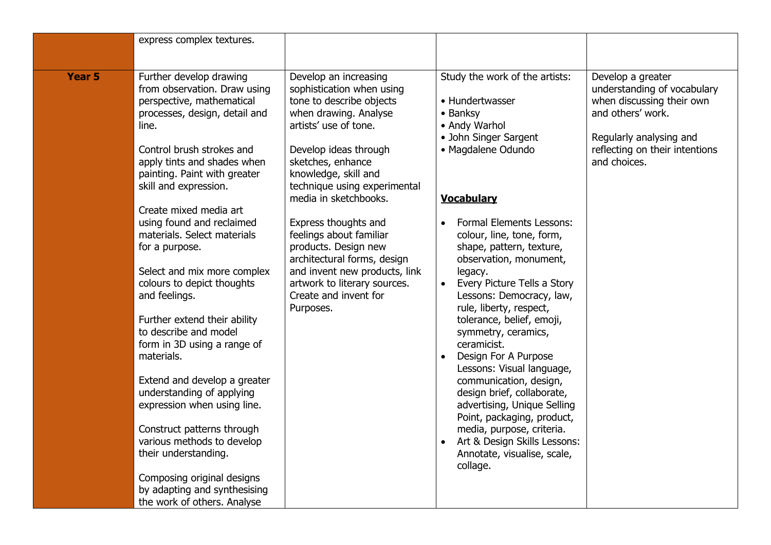|               | express complex textures.                                                                                                                                                                                                                                                                                                                                                                                                                                                                                                                                                                                                                                                                                                                                                                                                    |                                                                                                                                                                                                                                                                                                                                                                                                                                                                                  |                                                                                                                                                                                                                                                                                                                                                                                                                                                                                                                                                                                                                                                                                                                                |                                                                                                                                                                                 |
|---------------|------------------------------------------------------------------------------------------------------------------------------------------------------------------------------------------------------------------------------------------------------------------------------------------------------------------------------------------------------------------------------------------------------------------------------------------------------------------------------------------------------------------------------------------------------------------------------------------------------------------------------------------------------------------------------------------------------------------------------------------------------------------------------------------------------------------------------|----------------------------------------------------------------------------------------------------------------------------------------------------------------------------------------------------------------------------------------------------------------------------------------------------------------------------------------------------------------------------------------------------------------------------------------------------------------------------------|--------------------------------------------------------------------------------------------------------------------------------------------------------------------------------------------------------------------------------------------------------------------------------------------------------------------------------------------------------------------------------------------------------------------------------------------------------------------------------------------------------------------------------------------------------------------------------------------------------------------------------------------------------------------------------------------------------------------------------|---------------------------------------------------------------------------------------------------------------------------------------------------------------------------------|
| <b>Year 5</b> | Further develop drawing<br>from observation. Draw using<br>perspective, mathematical<br>processes, design, detail and<br>line.<br>Control brush strokes and<br>apply tints and shades when<br>painting. Paint with greater<br>skill and expression.<br>Create mixed media art<br>using found and reclaimed<br>materials. Select materials<br>for a purpose.<br>Select and mix more complex<br>colours to depict thoughts<br>and feelings.<br>Further extend their ability<br>to describe and model<br>form in 3D using a range of<br>materials.<br>Extend and develop a greater<br>understanding of applying<br>expression when using line.<br>Construct patterns through<br>various methods to develop<br>their understanding.<br>Composing original designs<br>by adapting and synthesising<br>the work of others. Analyse | Develop an increasing<br>sophistication when using<br>tone to describe objects<br>when drawing. Analyse<br>artists' use of tone.<br>Develop ideas through<br>sketches, enhance<br>knowledge, skill and<br>technique using experimental<br>media in sketchbooks.<br>Express thoughts and<br>feelings about familiar<br>products. Design new<br>architectural forms, design<br>and invent new products, link<br>artwork to literary sources.<br>Create and invent for<br>Purposes. | Study the work of the artists:<br>• Hundertwasser<br>• Banksy<br>• Andy Warhol<br>• John Singer Sargent<br>· Magdalene Odundo<br><b>Vocabulary</b><br><b>Formal Elements Lessons:</b><br>colour, line, tone, form,<br>shape, pattern, texture,<br>observation, monument,<br>legacy.<br>Every Picture Tells a Story<br>Lessons: Democracy, law,<br>rule, liberty, respect,<br>tolerance, belief, emoji,<br>symmetry, ceramics,<br>ceramicist.<br>Design For A Purpose<br>Lessons: Visual language,<br>communication, design,<br>design brief, collaborate,<br>advertising, Unique Selling<br>Point, packaging, product,<br>media, purpose, criteria.<br>Art & Design Skills Lessons:<br>Annotate, visualise, scale,<br>collage. | Develop a greater<br>understanding of vocabulary<br>when discussing their own<br>and others' work.<br>Regularly analysing and<br>reflecting on their intentions<br>and choices. |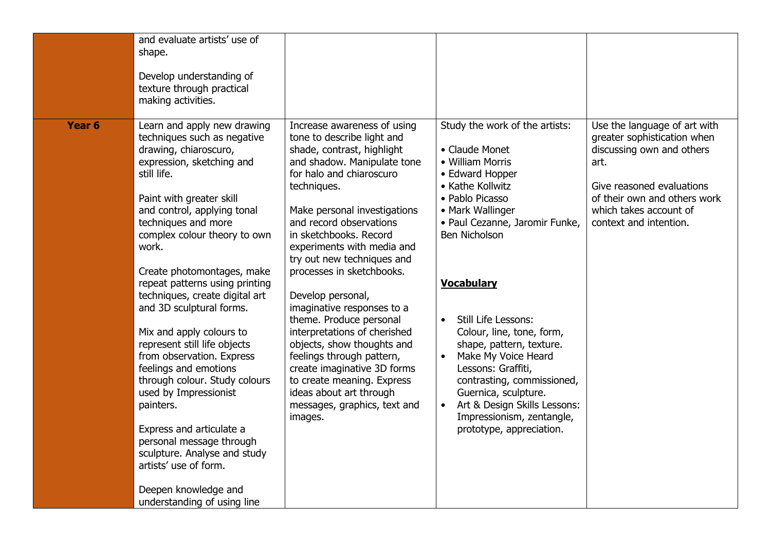|        | and evaluate artists' use of<br>shape.<br>Develop understanding of<br>texture through practical<br>making activities.                                                                                                                                                                                                                                                                                                                                                                                                                                                                                                                                                                                                                                     |                                                                                                                                                                                                                                                                                                                                                                                                                                                                                                                                                                                                                                                             |                                                                                                                                                                                                                                                                                                                                                                                                                                                                                                               |                                                                                                                                                                                                                   |
|--------|-----------------------------------------------------------------------------------------------------------------------------------------------------------------------------------------------------------------------------------------------------------------------------------------------------------------------------------------------------------------------------------------------------------------------------------------------------------------------------------------------------------------------------------------------------------------------------------------------------------------------------------------------------------------------------------------------------------------------------------------------------------|-------------------------------------------------------------------------------------------------------------------------------------------------------------------------------------------------------------------------------------------------------------------------------------------------------------------------------------------------------------------------------------------------------------------------------------------------------------------------------------------------------------------------------------------------------------------------------------------------------------------------------------------------------------|---------------------------------------------------------------------------------------------------------------------------------------------------------------------------------------------------------------------------------------------------------------------------------------------------------------------------------------------------------------------------------------------------------------------------------------------------------------------------------------------------------------|-------------------------------------------------------------------------------------------------------------------------------------------------------------------------------------------------------------------|
| Year 6 | Learn and apply new drawing<br>techniques such as negative<br>drawing, chiaroscuro,<br>expression, sketching and<br>still life.<br>Paint with greater skill<br>and control, applying tonal<br>techniques and more<br>complex colour theory to own<br>work.<br>Create photomontages, make<br>repeat patterns using printing<br>techniques, create digital art<br>and 3D sculptural forms.<br>Mix and apply colours to<br>represent still life objects<br>from observation. Express<br>feelings and emotions<br>through colour. Study colours<br>used by Impressionist<br>painters.<br>Express and articulate a<br>personal message through<br>sculpture. Analyse and study<br>artists' use of form.<br>Deepen knowledge and<br>understanding of using line | Increase awareness of using<br>tone to describe light and<br>shade, contrast, highlight<br>and shadow. Manipulate tone<br>for halo and chiaroscuro<br>techniques.<br>Make personal investigations<br>and record observations<br>in sketchbooks. Record<br>experiments with media and<br>try out new techniques and<br>processes in sketchbooks.<br>Develop personal,<br>imaginative responses to a<br>theme. Produce personal<br>interpretations of cherished<br>objects, show thoughts and<br>feelings through pattern,<br>create imaginative 3D forms<br>to create meaning. Express<br>ideas about art through<br>messages, graphics, text and<br>images. | Study the work of the artists:<br>• Claude Monet<br>• William Morris<br>• Edward Hopper<br>• Kathe Kollwitz<br>• Pablo Picasso<br>• Mark Wallinger<br>· Paul Cezanne, Jaromir Funke,<br>Ben Nicholson<br><b>Vocabulary</b><br><b>Still Life Lessons:</b><br>Colour, line, tone, form,<br>shape, pattern, texture.<br>Make My Voice Heard<br>Lessons: Graffiti,<br>contrasting, commissioned,<br>Guernica, sculpture.<br>Art & Design Skills Lessons:<br>Impressionism, zentangle,<br>prototype, appreciation. | Use the language of art with<br>greater sophistication when<br>discussing own and others<br>art.<br>Give reasoned evaluations<br>of their own and others work<br>which takes account of<br>context and intention. |